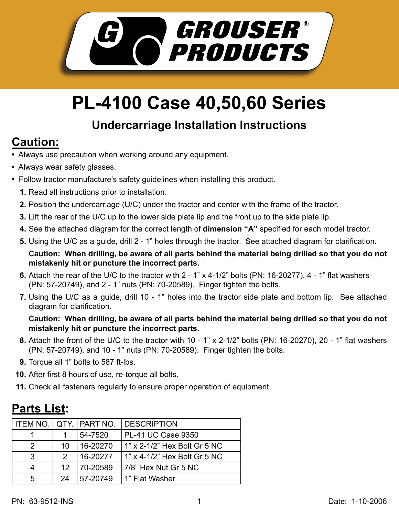

# **PL-4100 Case 40,50,60 Series**

#### **Undercarriage Installation Instructions**

## **Caution:**

- Always use precaution when working around any equipment.
- Always wear safety glasses.
- Follow tractor manufacture's safety guidelines when installing this product.
	- **1.** Read all instructions prior to installation.
	- Position the undercarriage (U/C) under the tractor and center with the frame of the tractor. **2.**
	- **3.** Lift the rear of the U/C up to the lower side plate lip and the front up to the side plate lip.
	- 4. See the attached diagram for the correct length of **dimension "A"** specified for each model tractor.
	- **5.** Using the U/C as a guide, drill 2 1" holes through the tractor. See attached diagram for clarification.

**Caution: When drilling, be aware of all parts behind the material being drilled so that you do not mistakenly hit or puncture the incorrect parts.**

- **6.** Attach the rear of the U/C to the tractor with 2 1" x 4-1/2" bolts (PN: 16-20277), 4 1" flat washers (PN: 57-20749), and 2 - 1" nuts (PN: 70-20589). Finger tighten the bolts.
- **7.** Using the U/C as a guide, drill 10 1" holes into the tractor side plate and bottom lip. See attached diagram for clarification.

#### **Caution: When drilling, be aware of all parts behind the material being drilled so that you do not mistakenly hit or puncture the incorrect parts.**

- 8. Attach the front of the U/C to the tractor with 10 1" x 2-1/2" bolts (PN: 16-20270), 20 1" flat washers (PN: 57-20749), and 10 - 1" nuts (PN: 70-20589). Finger tighten the bolts.
- **9.** Torque all 1" bolts to 587 ft-lbs.
- **10.** After first 8 hours of use, re-torque all bolts.
- **11.** Check all fasteners regularly to ensure proper operation of equipment.

### **Parts List:**

| ITEM NO.   QTY.   PART NO. |               |          | <b>DESCRIPTION</b>           |
|----------------------------|---------------|----------|------------------------------|
|                            |               | 54-7520  | PL-41 UC Case 9350           |
| 2                          | 10            | 16-20270 | 1" x 2-1/2" Hex Bolt Gr 5 NC |
| 3                          | $\mathcal{P}$ | 16-20277 | 1" x 4-1/2" Hex Bolt Gr 5 NC |
| 4                          | 12            | 70-20589 | 7/8" Hex Nut Gr 5 NC         |
| 5                          | 24            | 57-20749 | 1" Flat Washer               |